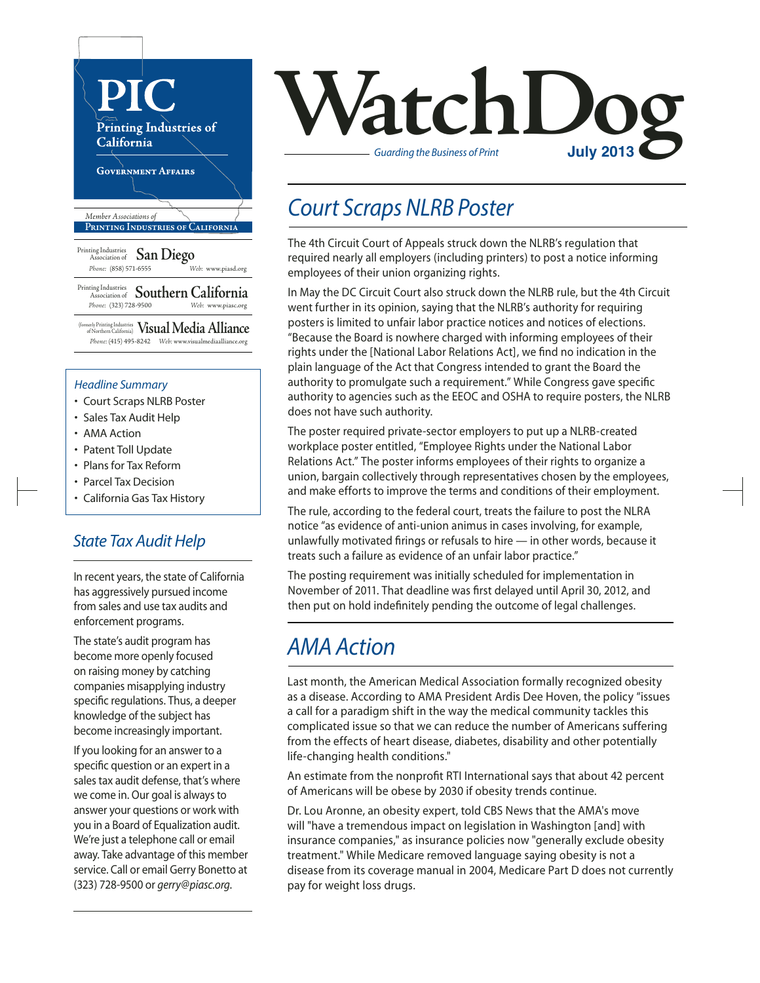

#### *Headline Summary*

- Court Scraps NLRB Poster
- Sales Tax Audit Help
- AMA Action
- Patent Toll Update
- Plans for Tax Reform
- Parcel Tax Decision
- California Gas Tax History

### *State Tax Audit Help*

In recent years, the state of California has aggressively pursued income from sales and use tax audits and enforcement programs.

The state's audit program has become more openly focused on raising money by catching companies misapplying industry specific regulations. Thus, a deeper knowledge of the subject has become increasingly important.

If you looking for an answer to a specific question or an expert in a sales tax audit defense, that's where we come in. Our goal is always to answer your questions or work with you in a Board of Equalization audit. We're just a telephone call or email away. Take advantage of this member service. Call or email Gerry Bonetto at (323) 728-9500 or *gerry@piasc.org*.



## *Court Scraps NLRB Poster*

The 4th Circuit Court of Appeals struck down the NLRB's regulation that required nearly all employers (including printers) to post a notice informing employees of their union organizing rights.

In May the DC Circuit Court also struck down the NLRB rule, but the 4th Circuit went further in its opinion, saying that the NLRB's authority for requiring posters is limited to unfair labor practice notices and notices of elections. "Because the Board is nowhere charged with informing employees of their rights under the [National Labor Relations Act], we find no indication in the plain language of the Act that Congress intended to grant the Board the authority to promulgate such a requirement." While Congress gave specific authority to agencies such as the EEOC and OSHA to require posters, the NLRB does not have such authority.

The poster required private-sector employers to put up a NLRB-created workplace poster entitled, "Employee Rights under the National Labor Relations Act." The poster informs employees of their rights to organize a union, bargain collectively through representatives chosen by the employees, and make efforts to improve the terms and conditions of their employment.

The rule, according to the federal court, treats the failure to post the NLRA notice "as evidence of anti-union animus in cases involving, for example, unlawfully motivated firings or refusals to hire — in other words, because it treats such a failure as evidence of an unfair labor practice."

The posting requirement was initially scheduled for implementation in November of 2011. That deadline was first delayed until April 30, 2012, and then put on hold indefinitely pending the outcome of legal challenges.

## *AMA Action*

Last month, the American Medical Association formally recognized obesity as a disease. According to AMA President Ardis Dee Hoven, the policy "issues a call for a paradigm shift in the way the medical community tackles this complicated issue so that we can reduce the number of Americans suffering from the effects of heart disease, diabetes, disability and other potentially life-changing health conditions."

An estimate from the nonprofit RTI International says that about 42 percent of Americans will be obese by 2030 if obesity trends continue.

Dr. Lou Aronne, an obesity expert, told CBS News that the AMA's move will "have a tremendous impact on legislation in Washington [and] with insurance companies," as insurance policies now "generally exclude obesity treatment." While Medicare removed language saying obesity is not a disease from its coverage manual in 2004, Medicare Part D does not currently pay for weight loss drugs.